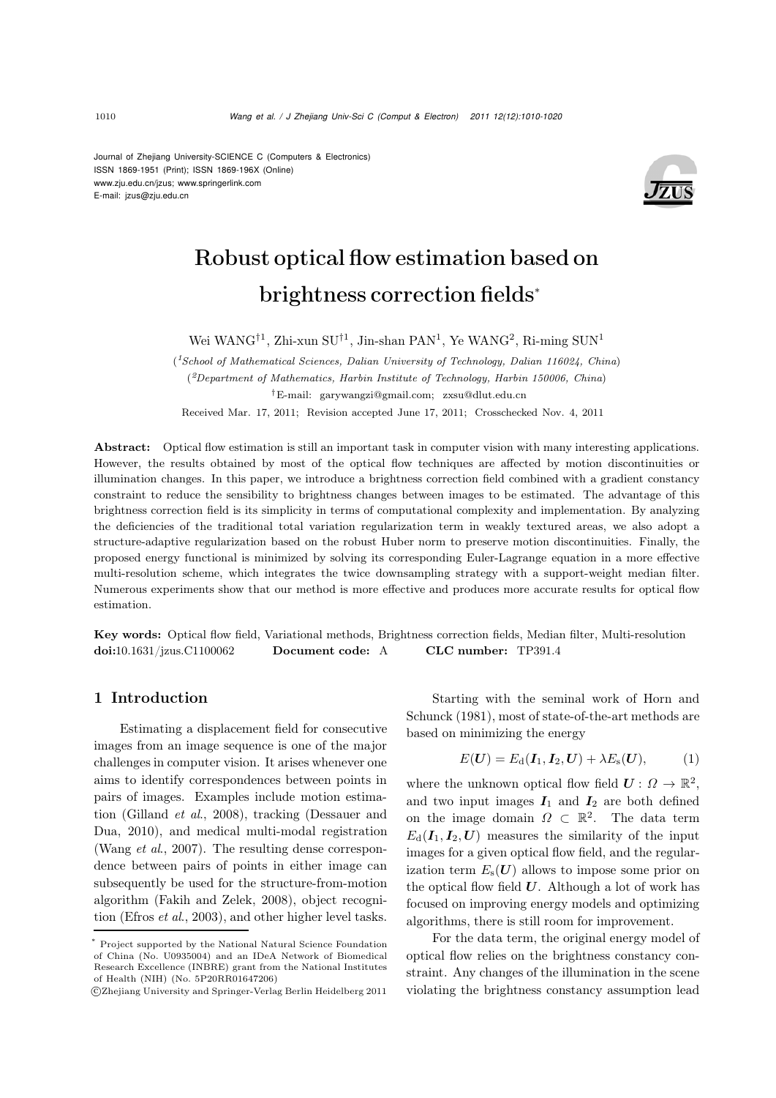Journal of Zhejiang University-SCIENCE C (Computers & Electronics) ISSN 1869-1951 (Print); ISSN 1869-196X (Online) www.zju.edu.cn/jzus; www.springerlink.com E-mail: jzus@zju.edu.cn



# Robust optical flow estimation based on brightness correction fields<sup>∗</sup>

Wei WANG<sup>†1</sup>, Zhi-xun SU<sup>†1</sup>, Jin-shan PAN<sup>1</sup>, Ye WANG<sup>2</sup>, Ri-ming SUN<sup>1</sup>

(*1School of Mathematical Sciences, Dalian University of Technology, Dalian 116024, China*) (*2Department of Mathematics, Harbin Institute of Technology, Harbin 150006, China*) †E-mail: garywangzi@gmail.com; zxsu@dlut.edu.cn

Received Mar. 17, 2011; Revision accepted June 17, 2011; Crosschecked Nov. 4, 2011

Abstract: Optical flow estimation is still an important task in computer vision with many interesting applications. However, the results obtained by most of the optical flow techniques are affected by motion discontinuities or illumination changes. In this paper, we introduce a brightness correction field combined with a gradient constancy constraint to reduce the sensibility to brightness changes between images to be estimated. The advantage of this brightness correction field is its simplicity in terms of computational complexity and implementation. By analyzing the deficiencies of the traditional total variation regularization term in weakly textured areas, we also adopt a structure-adaptive regularization based on the robust Huber norm to preserve motion discontinuities. Finally, the proposed energy functional is minimized by solving its corresponding Euler-Lagrange equation in a more effective multi-resolution scheme, which integrates the twice downsampling strategy with a support-weight median filter. Numerous experiments show that our method is more effective and produces more accurate results for optical flow estimation.

Key words: Optical flow field, Variational methods, Brightness correction fields, Median filter, Multi-resolution doi:10.1631/jzus.C1100062 Document code: A CLC number: TP391.4

## 1 Introduction

Estimating a displacement field for consecutive images from an image sequence is one of the major challenges in computer vision. It arises whenever one aims to identify correspondences between points in pairs of images. Examples include motion estimation (Gilland *et al*., 2008), tracking (Dessauer and Dua, 2010), and medical multi-modal registration (Wang *et al*., 2007). The resulting dense correspondence between pairs of points in either image can subsequently be used for the structure-from-motion algorithm (Fakih and Zelek, 2008), object recognition (Efros *et al*., 2003), and other higher level tasks.

Starting with the seminal work of Horn and Schunck (1981), most of state-of-the-art methods are based on minimizing the energy

$$
E(\boldsymbol{U})=E_{\mathrm{d}}(\boldsymbol{I}_{1},\boldsymbol{I}_{2},\boldsymbol{U})+\lambda E_{\mathrm{s}}(\boldsymbol{U}),\qquad(1)
$$

where the unknown optical flow field  $\boldsymbol{U} : \Omega \to \mathbb{R}^2$ . and two input images  $I_1$  and  $I_2$  are both defined on the image domain  $\Omega \subset \mathbb{R}^2$ . The data term  $E_d(I_1, I_2, U)$  measures the similarity of the input images for a given optical flow field, and the regularization term  $E_{\rm s}(U)$  allows to impose some prior on the optical flow field *U*. Although a lot of work has focused on improving energy models and optimizing algorithms, there is still room for improvement.

For the data term, the original energy model of optical flow relies on the brightness constancy constraint. Any changes of the illumination in the scene violating the brightness constancy assumption lead

<sup>\*</sup> Project supported by the National Natural Science Foundation of China (No. U0935004) and an IDeA Network of Biomedical Research Excellence (INBRE) grant from the National Institutes of Health (NIH) (No. 5P20RR01647206)

c Zhejiang University and Springer-Verlag Berlin Heidelberg 2011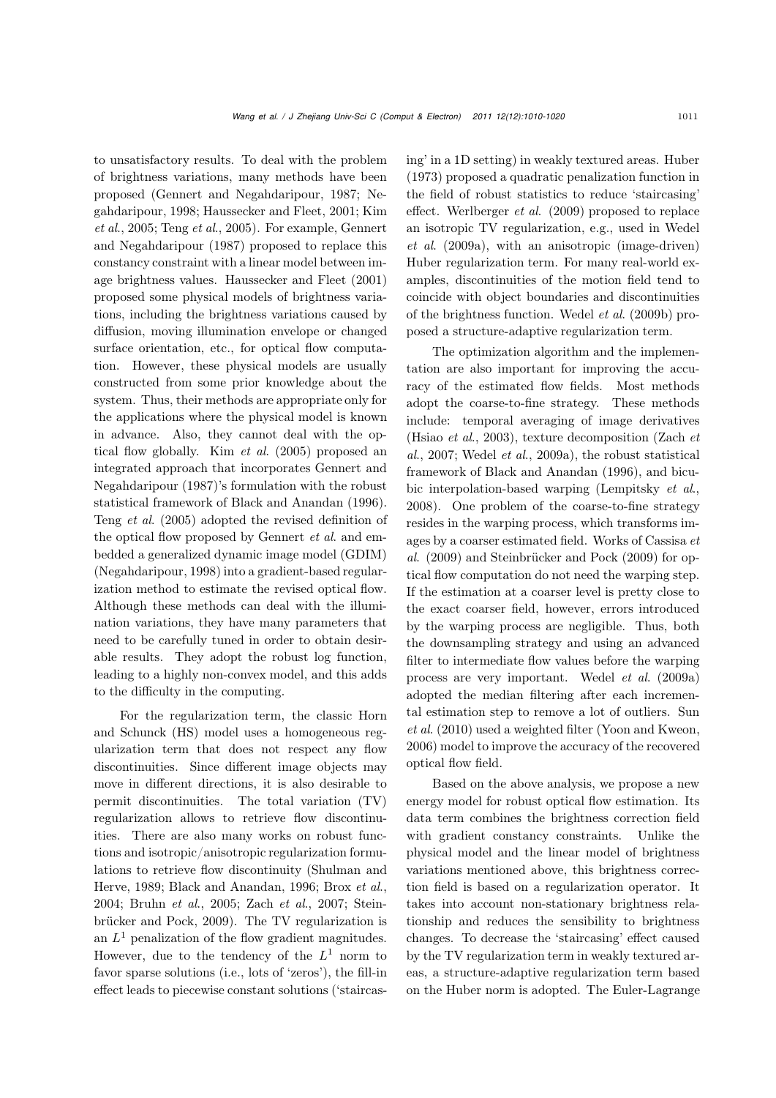to unsatisfactory results. To deal with the problem of brightness variations, many methods have been proposed (Gennert and Negahdaripour, 1987; Negahdaripour, 1998; Haussecker and Fleet, 2001; Kim *et al*., 2005; Teng *et al*., 2005). For example, Gennert and Negahdaripour (1987) proposed to replace this constancy constraint with a linear model between image brightness values. Haussecker and Fleet (2001) proposed some physical models of brightness variations, including the brightness variations caused by diffusion, moving illumination envelope or changed surface orientation, etc., for optical flow computation. However, these physical models are usually constructed from some prior knowledge about the system. Thus, their methods are appropriate only for the applications where the physical model is known in advance. Also, they cannot deal with the optical flow globally. Kim *et al*. (2005) proposed an integrated approach that incorporates Gennert and Negahdaripour (1987)'s formulation with the robust statistical framework of Black and Anandan (1996). Teng *et al*. (2005) adopted the revised definition of the optical flow proposed by Gennert *et al*. and embedded a generalized dynamic image model (GDIM) (Negahdaripour, 1998) into a gradient-based regularization method to estimate the revised optical flow. Although these methods can deal with the illumination variations, they have many parameters that need to be carefully tuned in order to obtain desirable results. They adopt the robust log function, leading to a highly non-convex model, and this adds to the difficulty in the computing.

For the regularization term, the classic Horn and Schunck (HS) model uses a homogeneous regularization term that does not respect any flow discontinuities. Since different image objects may move in different directions, it is also desirable to permit discontinuities. The total variation (TV) regularization allows to retrieve flow discontinuities. There are also many works on robust functions and isotropic/anisotropic regularization formulations to retrieve flow discontinuity (Shulman and Herve, 1989; Black and Anandan, 1996; Brox *et al*., 2004; Bruhn *et al*., 2005; Zach *et al*., 2007; Steinbrücker and Pock, 2009). The TV regularization is an  $L<sup>1</sup>$  penalization of the flow gradient magnitudes. However, due to the tendency of the  $L^1$  norm to favor sparse solutions (i.e., lots of 'zeros'), the fill-in effect leads to piecewise constant solutions ('staircasing' in a 1D setting) in weakly textured areas. Huber (1973) proposed a quadratic penalization function in the field of robust statistics to reduce 'staircasing' effect. Werlberger *et al*. (2009) proposed to replace an isotropic TV regularization, e.g., used in Wedel *et al*. (2009a), with an anisotropic (image-driven) Huber regularization term. For many real-world examples, discontinuities of the motion field tend to coincide with object boundaries and discontinuities of the brightness function. Wedel *et al*. (2009b) proposed a structure-adaptive regularization term.

The optimization algorithm and the implementation are also important for improving the accuracy of the estimated flow fields. Most methods adopt the coarse-to-fine strategy. These methods include: temporal averaging of image derivatives (Hsiao *et al*., 2003), texture decomposition (Zach *et al*., 2007; Wedel *et al*., 2009a), the robust statistical framework of Black and Anandan (1996), and bicubic interpolation-based warping (Lempitsky *et al*., 2008). One problem of the coarse-to-fine strategy resides in the warping process, which transforms images by a coarser estimated field. Works of Cassisa *et al.* (2009) and Steinbrücker and Pock (2009) for optical flow computation do not need the warping step. If the estimation at a coarser level is pretty close to the exact coarser field, however, errors introduced by the warping process are negligible. Thus, both the downsampling strategy and using an advanced filter to intermediate flow values before the warping process are very important. Wedel *et al*. (2009a) adopted the median filtering after each incremental estimation step to remove a lot of outliers. Sun *et al*. (2010) used a weighted filter (Yoon and Kweon, 2006) model to improve the accuracy of the recovered optical flow field.

Based on the above analysis, we propose a new energy model for robust optical flow estimation. Its data term combines the brightness correction field with gradient constancy constraints. Unlike the physical model and the linear model of brightness variations mentioned above, this brightness correction field is based on a regularization operator. It takes into account non-stationary brightness relationship and reduces the sensibility to brightness changes. To decrease the 'staircasing' effect caused by the TV regularization term in weakly textured areas, a structure-adaptive regularization term based on the Huber norm is adopted. The Euler-Lagrange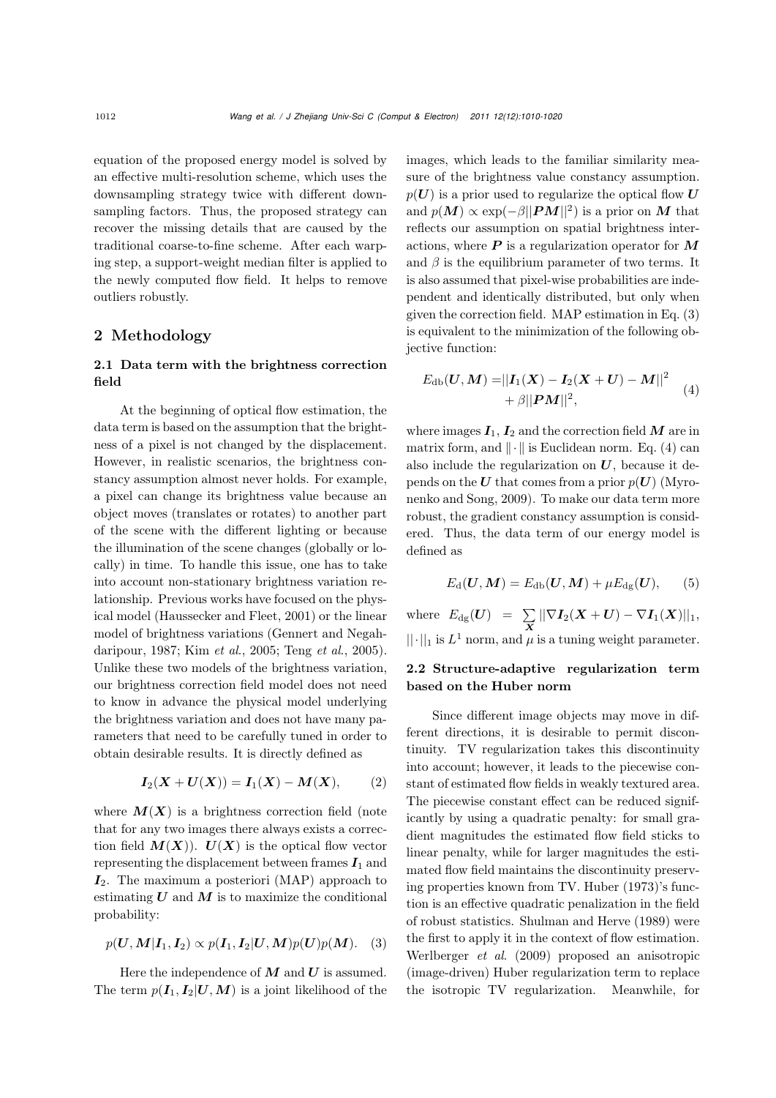equation of the proposed energy model is solved by an effective multi-resolution scheme, which uses the downsampling strategy twice with different downsampling factors. Thus, the proposed strategy can recover the missing details that are caused by the traditional coarse-to-fine scheme. After each warping step, a support-weight median filter is applied to the newly computed flow field. It helps to remove outliers robustly.

## 2 Methodology

## 2.1 Data term with the brightness correction field

At the beginning of optical flow estimation, the data term is based on the assumption that the brightness of a pixel is not changed by the displacement. However, in realistic scenarios, the brightness constancy assumption almost never holds. For example, a pixel can change its brightness value because an object moves (translates or rotates) to another part of the scene with the different lighting or because the illumination of the scene changes (globally or locally) in time. To handle this issue, one has to take into account non-stationary brightness variation relationship. Previous works have focused on the physical model (Haussecker and Fleet, 2001) or the linear model of brightness variations (Gennert and Negahdaripour, 1987; Kim *et al*., 2005; Teng *et al*., 2005). Unlike these two models of the brightness variation, our brightness correction field model does not need to know in advance the physical model underlying the brightness variation and does not have many parameters that need to be carefully tuned in order to obtain desirable results. It is directly defined as

$$
I_2(X + U(X)) = I_1(X) - M(X), \qquad (2)
$$

where  $M(X)$  is a brightness correction field (note that for any two images there always exists a correction field  $M(X)$ ).  $U(X)$  is the optical flow vector representing the displacement between frames  $I_1$  and *I*2. The maximum a posteriori (MAP) approach to estimating  $U$  and  $M$  is to maximize the conditional probability:

$$
p(\boldsymbol{U},\boldsymbol{M}|\boldsymbol{I}_1,\boldsymbol{I}_2) \propto p(\boldsymbol{I}_1,\boldsymbol{I}_2|\boldsymbol{U},\boldsymbol{M})p(\boldsymbol{U})p(\boldsymbol{M}).\quad (3)
$$

Here the independence of *M* and *U* is assumed. The term  $p(I_1, I_2|U, M)$  is a joint likelihood of the

images, which leads to the familiar similarity measure of the brightness value constancy assumption.  $p(\boldsymbol{U})$  is a prior used to regularize the optical flow  $\boldsymbol{U}$ and  $p(M) \propto \exp(-\beta ||PM||^2)$  is a prior on M that reflects our assumption on spatial brightness interactions, where *P* is a regularization operator for *M* and  $\beta$  is the equilibrium parameter of two terms. It is also assumed that pixel-wise probabilities are independent and identically distributed, but only when given the correction field. MAP estimation in Eq. (3) is equivalent to the minimization of the following objective function:

$$
E_{\rm db}(\bm{U},\bm{M}) = ||\bm{I}_1(\bm{X}) - \bm{I}_2(\bm{X} + \bm{U}) - \bm{M}||^2 + \beta ||\bm{P}\bm{M}||^2, \tag{4}
$$

where images  $I_1$ ,  $I_2$  and the correction field M are in matrix form, and  $\|\cdot\|$  is Euclidean norm. Eq. (4) can also include the regularization on *U*, because it depends on the  $U$  that comes from a prior  $p(U)$  (Myronenko and Song, 2009). To make our data term more robust, the gradient constancy assumption is considered. Thus, the data term of our energy model is defined as

$$
E_{\rm d}(\boldsymbol{U},\boldsymbol{M})=E_{\rm db}(\boldsymbol{U},\boldsymbol{M})+\mu E_{\rm dg}(\boldsymbol{U}),\qquad(5)
$$

where  $E_{\rm dg}(\bm{U}) = \sum$  $\sum_{\boldsymbol{X}}||\nabla I_2(\boldsymbol{X}+\boldsymbol{U}) - \nabla I_1(\boldsymbol{X})||_1,$  $||\cdot||_1$  is  $L^1$  norm, and  $\mu$  is a tuning weight parameter.

## 2.2 Structure-adaptive regularization term based on the Huber norm

Since different image objects may move in different directions, it is desirable to permit discontinuity. TV regularization takes this discontinuity into account; however, it leads to the piecewise constant of estimated flow fields in weakly textured area. The piecewise constant effect can be reduced significantly by using a quadratic penalty: for small gradient magnitudes the estimated flow field sticks to linear penalty, while for larger magnitudes the estimated flow field maintains the discontinuity preserving properties known from TV. Huber (1973)'s function is an effective quadratic penalization in the field of robust statistics. Shulman and Herve (1989) were the first to apply it in the context of flow estimation. Werlberger *et al*. (2009) proposed an anisotropic (image-driven) Huber regularization term to replace the isotropic TV regularization. Meanwhile, for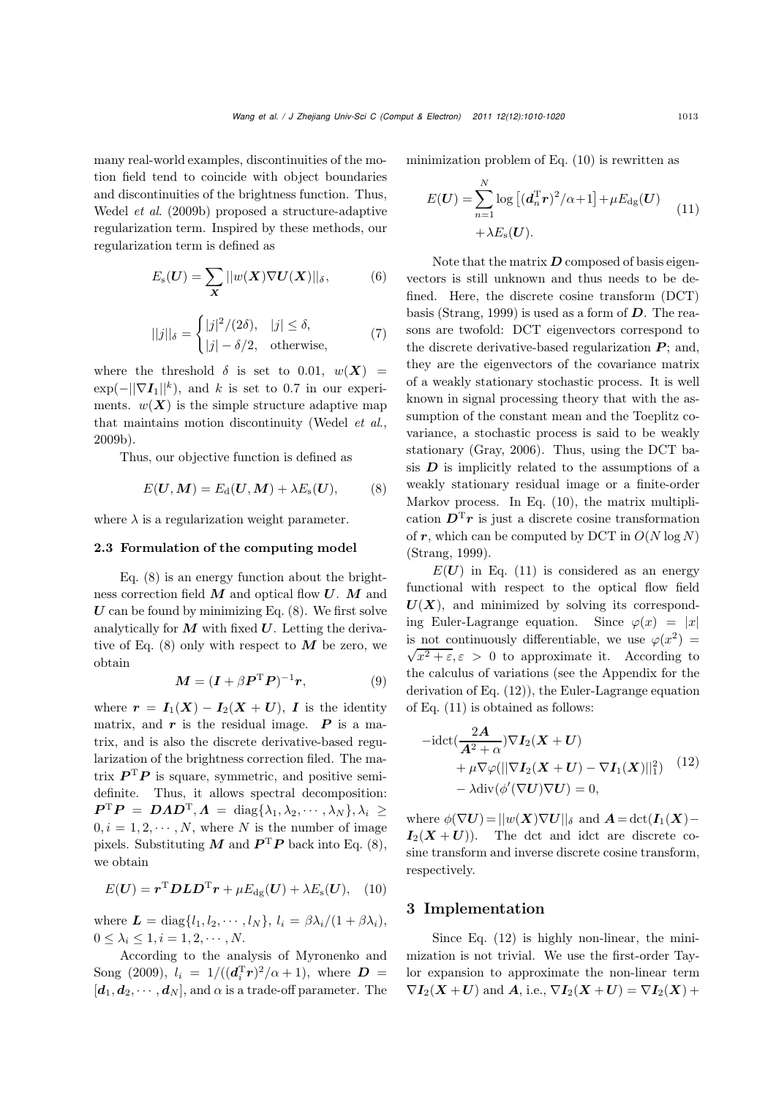many real-world examples, discontinuities of the motion field tend to coincide with object boundaries and discontinuities of the brightness function. Thus, Wedel *et al*. (2009b) proposed a structure-adaptive regularization term. Inspired by these methods, our regularization term is defined as

$$
E_{\rm s}(\boldsymbol{U}) = \sum_{\boldsymbol{X}} ||w(\boldsymbol{X}) \nabla U(\boldsymbol{X})||_{\delta}, \tag{6}
$$

$$
||j||_{\delta} = \begin{cases} |j|^2/(2\delta), & |j| \le \delta, \\ |j| - \delta/2, & \text{otherwise,} \end{cases}
$$
 (7)

where the threshold  $\delta$  is set to 0.01,  $w(\boldsymbol{X}) =$  $\exp(-||\nabla I_1||^k)$ , and k is set to 0.7 in our experiments.  $w(X)$  is the simple structure adaptive map that maintains motion discontinuity (Wedel *et al*., 2009b).

Thus, our objective function is defined as

$$
E(\boldsymbol{U},\boldsymbol{M})=E_{\mathrm{d}}(\boldsymbol{U},\boldsymbol{M})+\lambda E_{\mathrm{s}}(\boldsymbol{U}),\qquad(8)
$$

where  $\lambda$  is a regularization weight parameter.

#### 2.3 Formulation of the computing model

Eq. (8) is an energy function about the brightness correction field *M* and optical flow *U*. *M* and  $U$  can be found by minimizing Eq.  $(8)$ . We first solve analytically for  $M$  with fixed  $U$ . Letting the derivative of Eq.  $(8)$  only with respect to M be zero, we obtain

$$
\mathbf{M} = (\mathbf{I} + \beta \mathbf{P}^{\mathrm{T}} \mathbf{P})^{-1} \mathbf{r},\tag{9}
$$

where  $r = I_1(X) - I_2(X + U)$ , *I* is the identity matrix, and  $r$  is the residual image.  $P$  is a matrix, and is also the discrete derivative-based regularization of the brightness correction filed. The matrix  $P^{T}P$  is square, symmetric, and positive semidefinite. Thus, it allows spectral decomposition:  $P^{\mathrm{T}}P = DAD^{\mathrm{T}}, \Lambda = \text{diag}\{\lambda_1, \lambda_2, \cdots, \lambda_N\}, \lambda_i \geq$  $0, i = 1, 2, \dots, N$ , where N is the number of image pixels. Substituting *M* and  $P^{\mathrm{T}}P$  back into Eq. (8), we obtain

$$
E(\boldsymbol{U}) = \boldsymbol{r}^{\mathrm{T}} \boldsymbol{D} \boldsymbol{L} \boldsymbol{D}^{\mathrm{T}} \boldsymbol{r} + \mu E_{\mathrm{dg}}(\boldsymbol{U}) + \lambda E_{\mathrm{s}}(\boldsymbol{U}), \quad (10)
$$

where  $\mathbf{L} = \text{diag}\{l_1, l_2, \cdots, l_N\}, l_i = \beta \lambda_i/(1 + \beta \lambda_i),$  $0 \leq \lambda_i \leq 1, i = 1, 2, \cdots, N.$ 

According to the analysis of Myronenko and Song (2009),  $l_i = 1/((d_i^T r)^2/\alpha + 1)$ , where  $D =$  $[d_1, d_2, \cdots, d_N]$ , and  $\alpha$  is a trade-off parameter. The minimization problem of Eq. (10) is rewritten as

$$
E(\boldsymbol{U}) = \sum_{n=1}^{N} \log \left[ (\boldsymbol{d}_{n}^{\mathrm{T}} \boldsymbol{r})^{2} / \alpha + 1 \right] + \mu E_{\mathrm{dg}}(\boldsymbol{U})
$$
  
+  $\lambda E_{\mathrm{s}}(\boldsymbol{U}).$  (11)

Note that the matrix  $\bm{D}$  composed of basis eigenvectors is still unknown and thus needs to be defined. Here, the discrete cosine transform (DCT) basis (Strang, 1999) is used as a form of *D*. The reasons are twofold: DCT eigenvectors correspond to the discrete derivative-based regularization *P* ; and, they are the eigenvectors of the covariance matrix of a weakly stationary stochastic process. It is well known in signal processing theory that with the assumption of the constant mean and the Toeplitz covariance, a stochastic process is said to be weakly stationary (Gray, 2006). Thus, using the DCT basis  $D$  is implicitly related to the assumptions of a weakly stationary residual image or a finite-order Markov process. In Eq. (10), the matrix multiplication  $D^{T}r$  is just a discrete cosine transformation of  $r$ , which can be computed by DCT in  $O(N \log N)$ (Strang, 1999).

 $E(U)$  in Eq. (11) is considered as an energy functional with respect to the optical flow field  $U(X)$ , and minimized by solving its corresponding Euler-Lagrange equation. Since  $\varphi(x) = |x|$ is not continuously differentiable, we use  $\varphi(x^2) =$  $\sqrt{x^2 + \varepsilon}, \varepsilon > 0$  to approximate it. According to the calculus of variations (see the Appendix for the derivation of Eq. (12)), the Euler-Lagrange equation of Eq. (11) is obtained as follows:

$$
-idct\left(\frac{2A}{A^2+\alpha}\right)\nabla I_2(X+U) + \mu \nabla \varphi(||\nabla I_2(X+U) - \nabla I_1(X)||_1^2) \quad (12) - \lambda \text{div}(\phi'(\nabla U)\nabla U) = 0,
$$

where  $\phi(\nabla U) = ||w(X)\nabla U||_{\delta}$  and  $A = \det(I_1(X) - I_2)$  $I_2(X+U)$ ). The dct and idct are discrete cosine transform and inverse discrete cosine transform, respectively.

#### 3 Implementation

Since Eq. (12) is highly non-linear, the minimization is not trivial. We use the first-order Taylor expansion to approximate the non-linear term  $\nabla I_2(X+U)$  and **A**, i.e.,  $\nabla I_2(X+U) = \nabla I_2(X) +$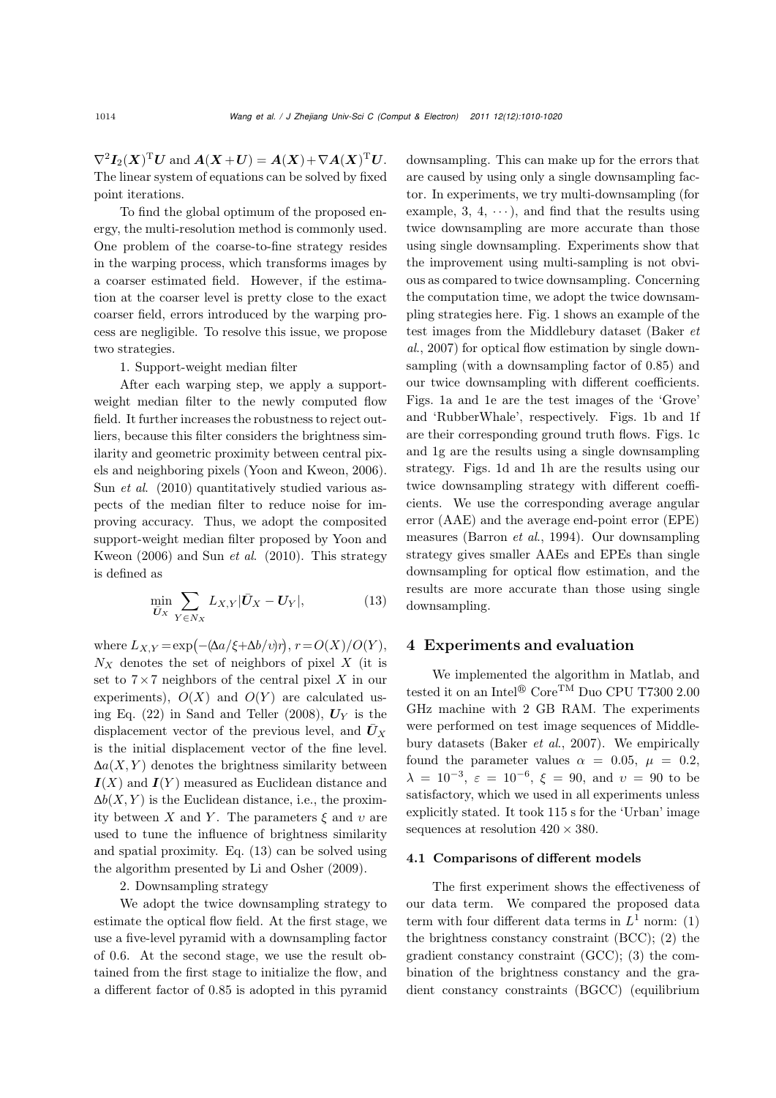$\nabla^2 I_2(X)^\mathrm{T} U$  and  $A(X+U) = A(X) + \nabla A(X)^\mathrm{T} U$ . The linear system of equations can be solved by fixed point iterations.

To find the global optimum of the proposed energy, the multi-resolution method is commonly used. One problem of the coarse-to-fine strategy resides in the warping process, which transforms images by a coarser estimated field. However, if the estimation at the coarser level is pretty close to the exact coarser field, errors introduced by the warping process are negligible. To resolve this issue, we propose two strategies.

1. Support-weight median filter

After each warping step, we apply a supportweight median filter to the newly computed flow field. It further increases the robustness to reject outliers, because this filter considers the brightness similarity and geometric proximity between central pixels and neighboring pixels (Yoon and Kweon, 2006). Sun *et al*. (2010) quantitatively studied various aspects of the median filter to reduce noise for improving accuracy. Thus, we adopt the composited support-weight median filter proposed by Yoon and Kweon (2006) and Sun *et al*. (2010). This strategy is defined as

$$
\min_{\bar{\boldsymbol{U}}_{X}} \sum_{Y \in N_{X}} L_{X,Y} |\bar{\boldsymbol{U}}_{X} - \boldsymbol{U}_{Y}|, \tag{13}
$$

where  $L_{X,Y} = \exp(-\left(\frac{\Delta a}{\xi} + \frac{\Delta b}{v}\right)r), r = O(X)/O(Y)$ ,  $N_X$  denotes the set of neighbors of pixel X (it is set to  $7 \times 7$  neighbors of the central pixel X in our experiments),  $O(X)$  and  $O(Y)$  are calculated using Eq.  $(22)$  in Sand and Teller  $(2008)$ ,  $U_Y$  is the displacement vector of the previous level, and  $U_X$ is the initial displacement vector of the fine level.  $\Delta a(X, Y)$  denotes the brightness similarity between  $I(X)$  and  $I(Y)$  measured as Euclidean distance and  $\Delta b(X, Y)$  is the Euclidean distance, i.e., the proximity between X and Y. The parameters  $\xi$  and  $v$  are used to tune the influence of brightness similarity and spatial proximity. Eq. (13) can be solved using the algorithm presented by Li and Osher (2009).

### 2. Downsampling strategy

We adopt the twice downsampling strategy to estimate the optical flow field. At the first stage, we use a five-level pyramid with a downsampling factor of 0.6. At the second stage, we use the result obtained from the first stage to initialize the flow, and a different factor of 0.85 is adopted in this pyramid

downsampling. This can make up for the errors that are caused by using only a single downsampling factor. In experiments, we try multi-downsampling (for example, 3, 4,  $\cdots$ ), and find that the results using twice downsampling are more accurate than those using single downsampling. Experiments show that the improvement using multi-sampling is not obvious as compared to twice downsampling. Concerning the computation time, we adopt the twice downsampling strategies here. Fig. 1 shows an example of the test images from the Middlebury dataset (Baker *et al*., 2007) for optical flow estimation by single downsampling (with a downsampling factor of 0.85) and our twice downsampling with different coefficients. Figs. 1a and 1e are the test images of the 'Grove' and 'RubberWhale', respectively. Figs. 1b and 1f are their corresponding ground truth flows. Figs. 1c and 1g are the results using a single downsampling strategy. Figs. 1d and 1h are the results using our twice downsampling strategy with different coefficients. We use the corresponding average angular error (AAE) and the average end-point error (EPE) measures (Barron *et al*., 1994). Our downsampling strategy gives smaller AAEs and EPEs than single downsampling for optical flow estimation, and the results are more accurate than those using single downsampling.

#### 4 Experiments and evaluation

We implemented the algorithm in Matlab, and tested it on an Intel<sup>®</sup> Core<sup>TM</sup> Duo CPU T7300 2.00 GHz machine with 2 GB RAM. The experiments were performed on test image sequences of Middlebury datasets (Baker *et al*., 2007). We empirically found the parameter values  $\alpha = 0.05$ ,  $\mu = 0.2$ ,  $\lambda = 10^{-3}, \ \varepsilon = 10^{-6}, \ \xi = 90, \text{ and } v = 90 \text{ to be}$ satisfactory, which we used in all experiments unless explicitly stated. It took 115 s for the 'Urban' image sequences at resolution  $420 \times 380$ .

#### 4.1 Comparisons of different models

The first experiment shows the effectiveness of our data term. We compared the proposed data term with four different data terms in  $L^1$  norm: (1) the brightness constancy constraint (BCC); (2) the gradient constancy constraint (GCC); (3) the combination of the brightness constancy and the gradient constancy constraints (BGCC) (equilibrium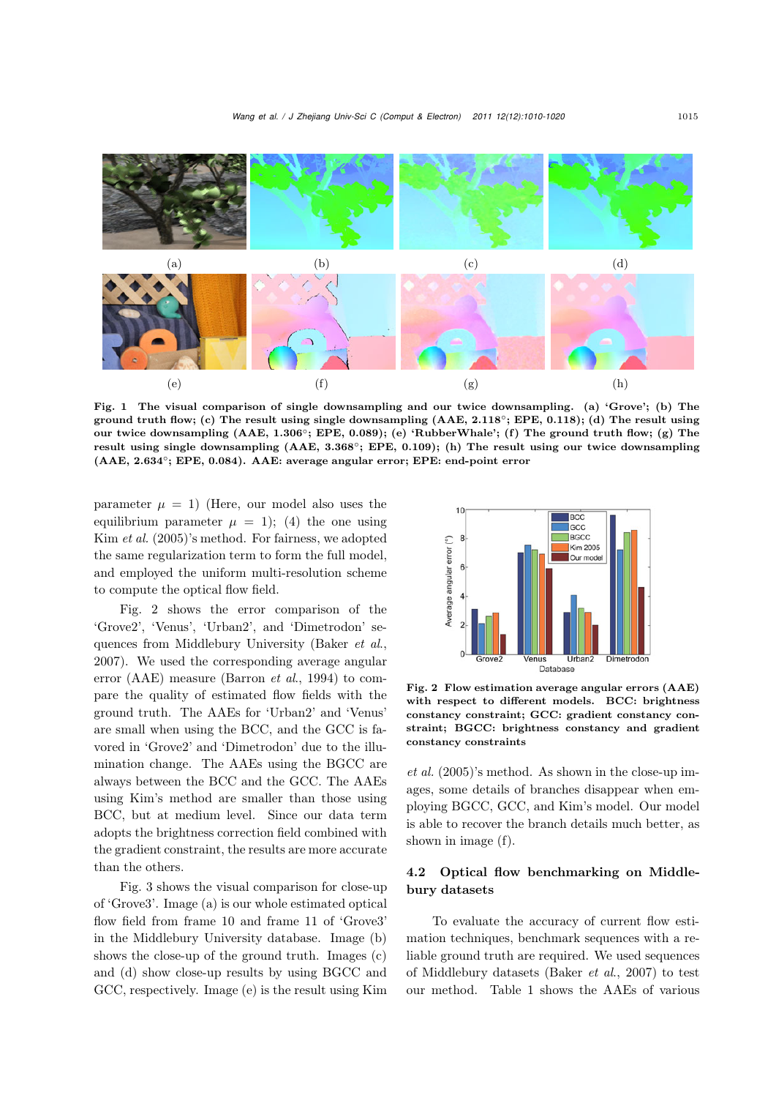

Fig. 1 The visual comparison of single downsampling and our twice downsampling. (a) 'Grove'; (b) The ground truth flow; (c) The result using single downsampling (AAE, 2.118°; EPE, 0.118); (d) The result using our twice downsampling (AAE, 1.306°; EPE, 0.089); (e) 'RubberWhale'; (f) The ground truth flow; (g) The result using single downsampling (AAE, 3.368◦; EPE, 0.109); (h) The result using our twice downsampling (AAE, 2.634◦; EPE, 0.084). AAE: average angular error; EPE: end-point error

parameter  $\mu = 1$ ) (Here, our model also uses the equilibrium parameter  $\mu = 1$ ; (4) the one using Kim *et al.* (2005)'s method. For fairness, we adopted the same regularization term to form the full model, and employed the uniform multi-resolution scheme to compute the optical flow field.

Fig. 2 shows the error comparison of the 'Grove2', 'Venus', 'Urban2', and 'Dimetrodon' sequences from Middlebury University (Baker *et al*., 2007). We used the corresponding average angular error (AAE) measure (Barron *et al*., 1994) to compare the quality of estimated flow fields with the ground truth. The AAEs for 'Urban2' and 'Venus' are small when using the BCC, and the GCC is favored in 'Grove2' and 'Dimetrodon' due to the illumination change. The AAEs using the BGCC are always between the BCC and the GCC. The AAEs using Kim's method are smaller than those using BCC, but at medium level. Since our data term adopts the brightness correction field combined with the gradient constraint, the results are more accurate than the others.

Fig. 3 shows the visual comparison for close-up of 'Grove3'. Image (a) is our whole estimated optical flow field from frame 10 and frame 11 of 'Grove3' in the Middlebury University database. Image (b) shows the close-up of the ground truth. Images (c) and (d) show close-up results by using BGCC and GCC, respectively. Image (e) is the result using Kim



Fig. 2 Flow estimation average angular errors (AAE) with respect to different models. BCC: brightness constancy constraint; GCC: gradient constancy constraint; BGCC: brightness constancy and gradient constancy constraints

*et al.* (2005)'s method. As shown in the close-up images, some details of branches disappear when employing BGCC, GCC, and Kim's model. Our model is able to recover the branch details much better, as shown in image (f).

## 4.2 Optical flow benchmarking on Middlebury datasets

To evaluate the accuracy of current flow estimation techniques, benchmark sequences with a reliable ground truth are required. We used sequences of Middlebury datasets (Baker *et al*., 2007) to test our method. Table 1 shows the AAEs of various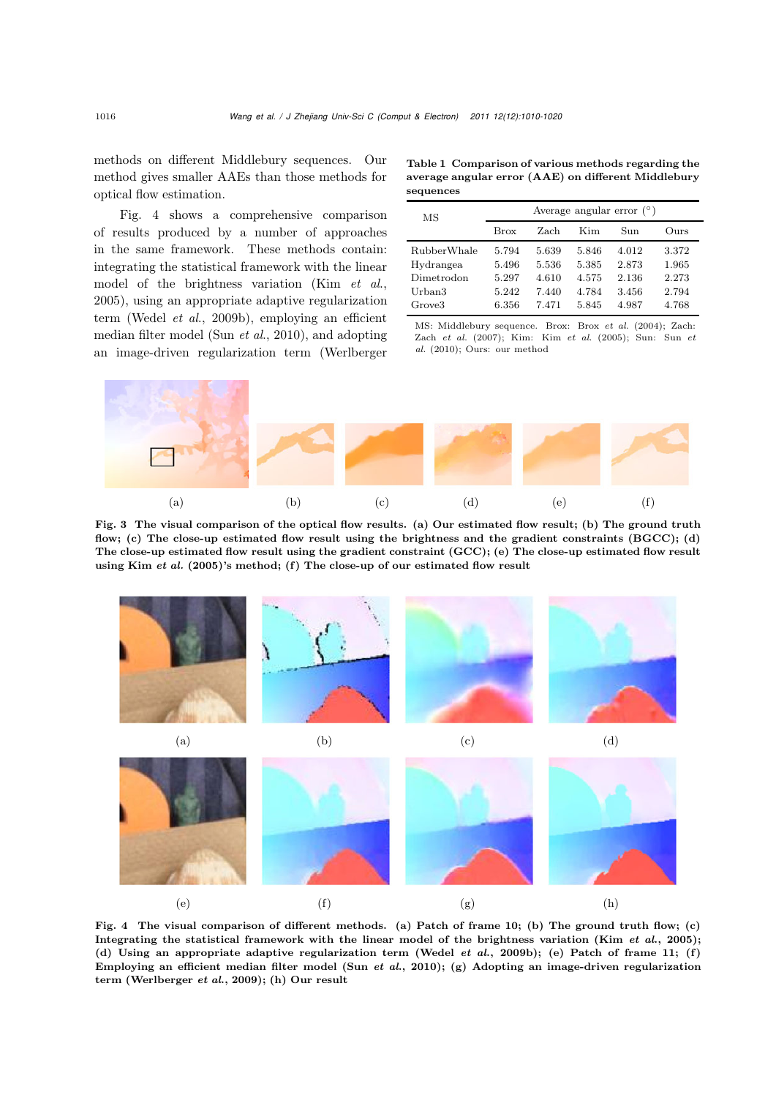methods on different Middlebury sequences. Our method gives smaller AAEs than those methods for optical flow estimation.

Fig. 4 shows a comprehensive comparison of results produced by a number of approaches in the same framework. These methods contain: integrating the statistical framework with the linear model of the brightness variation (Kim *et al*., 2005), using an appropriate adaptive regularization term (Wedel *et al*., 2009b), employing an efficient median filter model (Sun *et al*., 2010), and adopting an image-driven regularization term (Werlberger Table 1 Comparison of various methods regarding the average angular error (AAE) on different Middlebury sequences

| МS                 | Average angular error $(°)$ |       |       |       |       |
|--------------------|-----------------------------|-------|-------|-------|-------|
|                    | Brox                        | Zach  | Kim   | Sun   | Ours  |
| <b>RubberWhale</b> | 5.794                       | 5.639 | 5.846 | 4.012 | 3.372 |
| Hydrangea          | 5.496                       | 5.536 | 5.385 | 2.873 | 1.965 |
| Dimetrodon         | 5.297                       | 4.610 | 4.575 | 2.136 | 2.273 |
| Urban3             | 5.242                       | 7.440 | 4.784 | 3.456 | 2.794 |
| Grove <sub>3</sub> | 6.356                       | 7.471 | 5.845 | 4.987 | 4.768 |

MS: Middlebury sequence. Brox: Brox *et al*. (2004); Zach: Zach *et al*. (2007); Kim: Kim *et al*. (2005); Sun: Sun *et al*. (2010); Ours: our method



Fig. 3 The visual comparison of the optical flow results. (a) Our estimated flow result; (b) The ground truth flow; (c) The close-up estimated flow result using the brightness and the gradient constraints (BGCC); (d) The close-up estimated flow result using the gradient constraint (GCC); (e) The close-up estimated flow result using Kim *et al.* (2005)'s method; (f) The close-up of our estimated flow result



Fig. 4 The visual comparison of different methods. (a) Patch of frame 10; (b) The ground truth flow; (c) Integrating the statistical framework with the linear model of the brightness variation (Kim *et al*., 2005); (d) Using an appropriate adaptive regularization term (Wedel *et al.*, 2009b); (e) Patch of frame 11; (f) Employing an efficient median filter model (Sun *et al*., 2010); (g) Adopting an image-driven regularization term (Werlberger *et al*., 2009); (h) Our result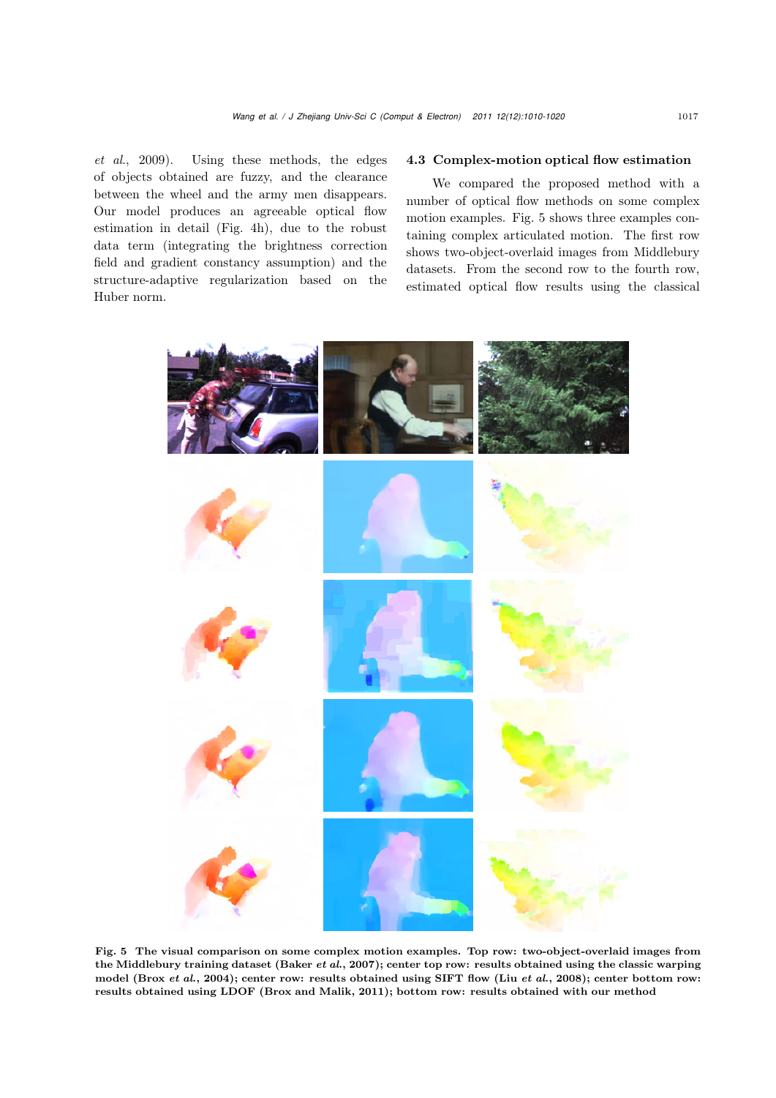*et al*., 2009). Using these methods, the edges of objects obtained are fuzzy, and the clearance between the wheel and the army men disappears. Our model produces an agreeable optical flow estimation in detail (Fig. 4h), due to the robust data term (integrating the brightness correction field and gradient constancy assumption) and the structure-adaptive regularization based on the Huber norm.

### 4.3 Complex-motion optical flow estimation

We compared the proposed method with a number of optical flow methods on some complex motion examples. Fig. 5 shows three examples containing complex articulated motion. The first row shows two-object-overlaid images from Middlebury datasets. From the second row to the fourth row, estimated optical flow results using the classical



Fig. 5 The visual comparison on some complex motion examples. Top row: two-object-overlaid images from the Middlebury training dataset (Baker *et al*., 2007); center top row: results obtained using the classic warping model (Brox *et al*., 2004); center row: results obtained using SIFT flow (Liu *et al*., 2008); center bottom row: results obtained using LDOF (Brox and Malik, 2011); bottom row: results obtained with our method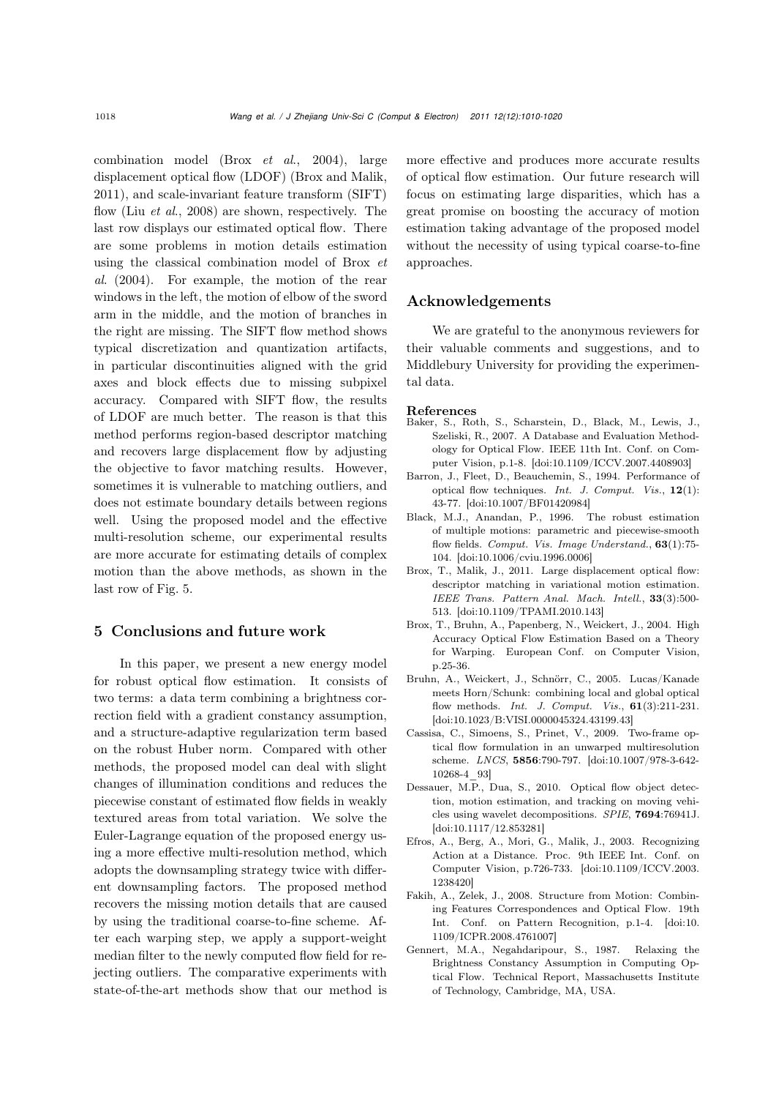combination model (Brox *et al*., 2004), large displacement optical flow (LDOF) (Brox and Malik, 2011), and scale-invariant feature transform (SIFT) flow (Liu *et al*., 2008) are shown, respectively. The last row displays our estimated optical flow. There are some problems in motion details estimation using the classical combination model of Brox *et al*. (2004). For example, the motion of the rear windows in the left, the motion of elbow of the sword arm in the middle, and the motion of branches in the right are missing. The SIFT flow method shows typical discretization and quantization artifacts, in particular discontinuities aligned with the grid axes and block effects due to missing subpixel accuracy. Compared with SIFT flow, the results of LDOF are much better. The reason is that this method performs region-based descriptor matching and recovers large displacement flow by adjusting the objective to favor matching results. However, sometimes it is vulnerable to matching outliers, and does not estimate boundary details between regions well. Using the proposed model and the effective multi-resolution scheme, our experimental results are more accurate for estimating details of complex motion than the above methods, as shown in the last row of Fig. 5.

### 5 Conclusions and future work

In this paper, we present a new energy model for robust optical flow estimation. It consists of two terms: a data term combining a brightness correction field with a gradient constancy assumption, and a structure-adaptive regularization term based on the robust Huber norm. Compared with other methods, the proposed model can deal with slight changes of illumination conditions and reduces the piecewise constant of estimated flow fields in weakly textured areas from total variation. We solve the Euler-Lagrange equation of the proposed energy using a more effective multi-resolution method, which adopts the downsampling strategy twice with different downsampling factors. The proposed method recovers the missing motion details that are caused by using the traditional coarse-to-fine scheme. After each warping step, we apply a support-weight median filter to the newly computed flow field for rejecting outliers. The comparative experiments with state-of-the-art methods show that our method is more effective and produces more accurate results of optical flow estimation. Our future research will focus on estimating large disparities, which has a great promise on boosting the accuracy of motion estimation taking advantage of the proposed model without the necessity of using typical coarse-to-fine approaches.

## Acknowledgements

We are grateful to the anonymous reviewers for their valuable comments and suggestions, and to Middlebury University for providing the experimental data.

#### References

- Baker, S., Roth, S., Scharstein, D., Black, M., Lewis, J., Szeliski, R., 2007. A Database and Evaluation Methodology for Optical Flow. IEEE 11th Int. Conf. on Computer Vision, p.1-8. [doi:10.1109/ICCV.2007.4408903]
- Barron, J., Fleet, D., Beauchemin, S., 1994. Performance of optical flow techniques. *Int. J. Comput. Vis.*, 12(1): 43-77. [doi:10.1007/BF01420984]
- Black, M.J., Anandan, P., 1996. The robust estimation of multiple motions: parametric and piecewise-smooth flow fields. *Comput. Vis. Image Understand.*, 63(1):75- 104. [doi:10.1006/cviu.1996.0006]
- Brox, T., Malik, J., 2011. Large displacement optical flow: descriptor matching in variational motion estimation. *IEEE Trans. Pattern Anal. Mach. Intell.*, 33(3):500- 513. [doi:10.1109/TPAMI.2010.143]
- Brox, T., Bruhn, A., Papenberg, N., Weickert, J., 2004. High Accuracy Optical Flow Estimation Based on a Theory for Warping. European Conf. on Computer Vision, p.25-36.
- Bruhn, A., Weickert, J., Schnörr, C., 2005. Lucas/Kanade meets Horn/Schunk: combining local and global optical flow methods. *Int. J. Comput. Vis.*, 61(3):211-231. [doi:10.1023/B:VISI.0000045324.43199.43]
- Cassisa, C., Simoens, S., Prinet, V., 2009. Two-frame optical flow formulation in an unwarped multiresolution scheme. *LNCS*, 5856:790-797. [doi:10.1007/978-3-642- 10268-4\_93]
- Dessauer, M.P., Dua, S., 2010. Optical flow object detection, motion estimation, and tracking on moving vehicles using wavelet decompositions. *SPIE*, 7694:76941J. [doi:10.1117/12.853281]
- Efros, A., Berg, A., Mori, G., Malik, J., 2003. Recognizing Action at a Distance. Proc. 9th IEEE Int. Conf. on Computer Vision, p.726-733. [doi:10.1109/ICCV.2003. 1238420]
- Fakih, A., Zelek, J., 2008. Structure from Motion: Combining Features Correspondences and Optical Flow. 19th Int. Conf. on Pattern Recognition, p.1-4. [doi:10. 1109/ICPR.2008.4761007]
- Gennert, M.A., Negahdaripour, S., 1987. Relaxing the Brightness Constancy Assumption in Computing Optical Flow. Technical Report, Massachusetts Institute of Technology, Cambridge, MA, USA.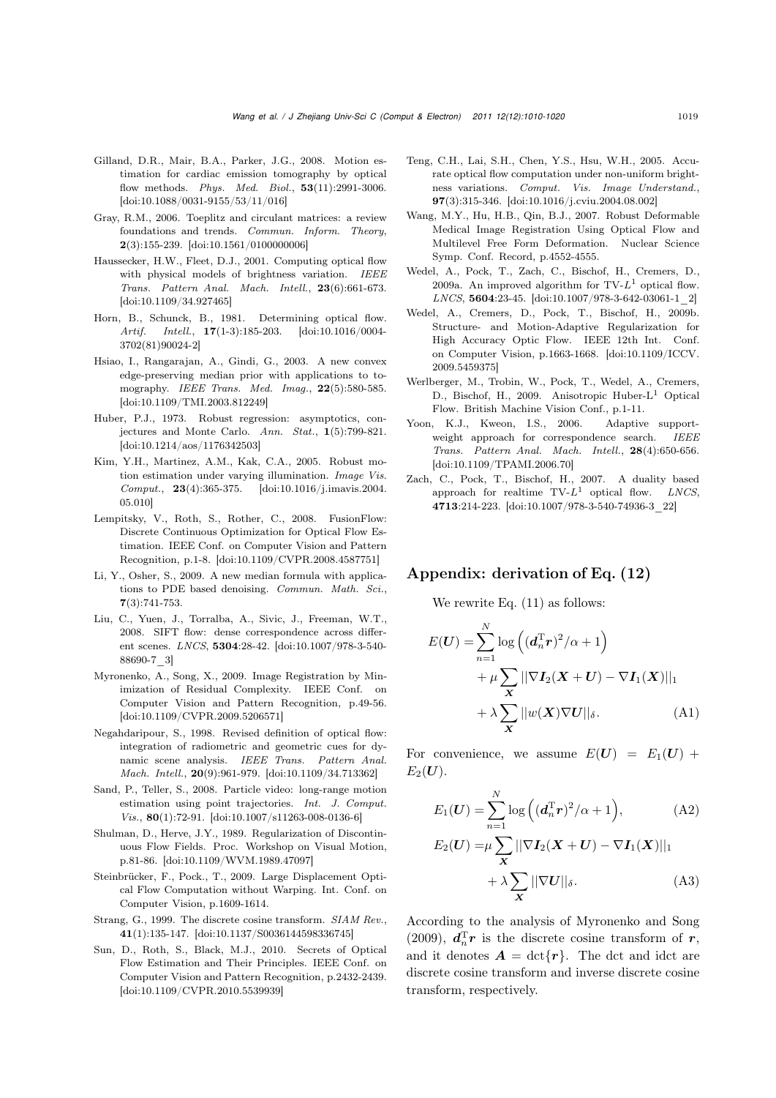- Gilland, D.R., Mair, B.A., Parker, J.G., 2008. Motion estimation for cardiac emission tomography by optical flow methods. *Phys. Med. Biol.*, 53(11):2991-3006. [doi:10.1088/0031-9155/53/11/016]
- Gray, R.M., 2006. Toeplitz and circulant matrices: a review foundations and trends. *Commun. Inform. Theory*, 2(3):155-239. [doi:10.1561/0100000006]
- Haussecker, H.W., Fleet, D.J., 2001. Computing optical flow with physical models of brightness variation. *IEEE Trans. Pattern Anal. Mach. Intell.*, 23(6):661-673. [doi:10.1109/34.927465]
- Horn, B., Schunck, B., 1981. Determining optical flow. *Artif. Intell.*, 17(1-3):185-203. [doi:10.1016/0004- 3702(81)90024-2]
- Hsiao, I., Rangarajan, A., Gindi, G., 2003. A new convex edge-preserving median prior with applications to tomography. *IEEE Trans. Med. Imag.*, 22(5):580-585. [doi:10.1109/TMI.2003.812249]
- Huber, P.J., 1973. Robust regression: asymptotics, conjectures and Monte Carlo. *Ann. Stat.*, 1(5):799-821. [doi:10.1214/aos/1176342503]
- Kim, Y.H., Martinez, A.M., Kak, C.A., 2005. Robust motion estimation under varying illumination. *Image Vis. Comput.*, 23(4):365-375. [doi:10.1016/j.imavis.2004. 05.010]
- Lempitsky, V., Roth, S., Rother, C., 2008. FusionFlow: Discrete Continuous Optimization for Optical Flow Estimation. IEEE Conf. on Computer Vision and Pattern Recognition, p.1-8. [doi:10.1109/CVPR.2008.4587751]
- Li, Y., Osher, S., 2009. A new median formula with applications to PDE based denoising. *Commun. Math. Sci.*, 7(3):741-753.
- Liu, C., Yuen, J., Torralba, A., Sivic, J., Freeman, W.T., 2008. SIFT flow: dense correspondence across different scenes. *LNCS*, 5304:28-42. [doi:10.1007/978-3-540- 88690-7\_3]
- Myronenko, A., Song, X., 2009. Image Registration by Minimization of Residual Complexity. IEEE Conf. on Computer Vision and Pattern Recognition, p.49-56. [doi:10.1109/CVPR.2009.5206571]
- Negahdaripour, S., 1998. Revised definition of optical flow: integration of radiometric and geometric cues for dynamic scene analysis. *IEEE Trans. Pattern Anal. Mach. Intell.*, 20(9):961-979. [doi:10.1109/34.713362]
- Sand, P., Teller, S., 2008. Particle video: long-range motion estimation using point trajectories. *Int. J. Comput. Vis.*, 80(1):72-91. [doi:10.1007/s11263-008-0136-6]
- Shulman, D., Herve, J.Y., 1989. Regularization of Discontinuous Flow Fields. Proc. Workshop on Visual Motion, p.81-86. [doi:10.1109/WVM.1989.47097]
- Steinbrücker, F., Pock., T., 2009. Large Displacement Optical Flow Computation without Warping. Int. Conf. on Computer Vision, p.1609-1614.
- Strang, G., 1999. The discrete cosine transform. *SIAM Rev.*, 41(1):135-147. [doi:10.1137/S0036144598336745]
- Sun, D., Roth, S., Black, M.J., 2010. Secrets of Optical Flow Estimation and Their Principles. IEEE Conf. on Computer Vision and Pattern Recognition, p.2432-2439. [doi:10.1109/CVPR.2010.5539939]
- Teng, C.H., Lai, S.H., Chen, Y.S., Hsu, W.H., 2005. Accurate optical flow computation under non-uniform brightness variations. *Comput. Vis. Image Understand.*, 97(3):315-346. [doi:10.1016/j.cviu.2004.08.002]
- Wang, M.Y., Hu, H.B., Qin, B.J., 2007. Robust Deformable Medical Image Registration Using Optical Flow and Multilevel Free Form Deformation. Nuclear Science Symp. Conf. Record, p.4552-4555.
- Wedel, A., Pock, T., Zach, C., Bischof, H., Cremers, D., 2009a. An improved algorithm for  $TV-L^1$  optical flow. *LNCS*, 5604:23-45. [doi:10.1007/978-3-642-03061-1\_2]
- Wedel, A., Cremers, D., Pock, T., Bischof, H., 2009b. Structure- and Motion-Adaptive Regularization for High Accuracy Optic Flow. IEEE 12th Int. Conf. on Computer Vision, p.1663-1668. [doi:10.1109/ICCV. 2009.5459375]
- Werlberger, M., Trobin, W., Pock, T., Wedel, A., Cremers, D., Bischof, H., 2009. Anisotropic Huber-L<sup>1</sup> Optical Flow. British Machine Vision Conf., p.1-11.
- Yoon, K.J., Kweon, I.S., 2006. Adaptive supportweight approach for correspondence search. *IEEE Trans. Pattern Anal. Mach. Intell.*, 28(4):650-656. [doi:10.1109/TPAMI.2006.70]
- Zach, C., Pock, T., Bischof, H., 2007. A duality based approach for realtime TV-*L*<sup>1</sup> optical flow. *LNCS*, 4713:214-223. [doi:10.1007/978-3-540-74936-3\_22]

## Appendix: derivation of Eq. (12)

We rewrite Eq.  $(11)$  as follows:

$$
E(\boldsymbol{U}) = \sum_{n=1}^{N} \log \left( (d_n^{\mathrm{T}} \boldsymbol{r})^2 / \alpha + 1 \right)
$$
  
+  $\mu \sum_{\boldsymbol{X}} ||\nabla I_2(\boldsymbol{X} + \boldsymbol{U}) - \nabla I_1(\boldsymbol{X})||_1$   
+  $\lambda \sum_{\boldsymbol{X}} ||w(\boldsymbol{X}) \nabla U||_{\delta}.$  (A1)

For convenience, we assume  $E(U) = E_1(U) +$  $E_2(U)$ .

$$
E_1(\boldsymbol{U}) = \sum_{n=1}^{N} \log \left( (d_n^{\mathrm{T}} \boldsymbol{r})^2 / \alpha + 1 \right), \qquad \text{(A2)}
$$
  
\n
$$
E_2(\boldsymbol{U}) = \mu \sum_{\mathbf{X}} ||\nabla \boldsymbol{I}_2(\boldsymbol{X} + \boldsymbol{U}) - \nabla \boldsymbol{I}_1(\boldsymbol{X})||_1
$$
  
\n
$$
+ \lambda \sum_{\mathbf{X}} ||\nabla \boldsymbol{U}||_{\delta}. \qquad \text{(A3)}
$$

According to the analysis of Myronenko and Song (2009),  $d_n^{\mathrm{T}}r$  is the discrete cosine transform of  $r$ , and it denotes  $\mathbf{A} = \text{dct}\{\mathbf{r}\}\$ . The dct and idct are discrete cosine transform and inverse discrete cosine transform, respectively.